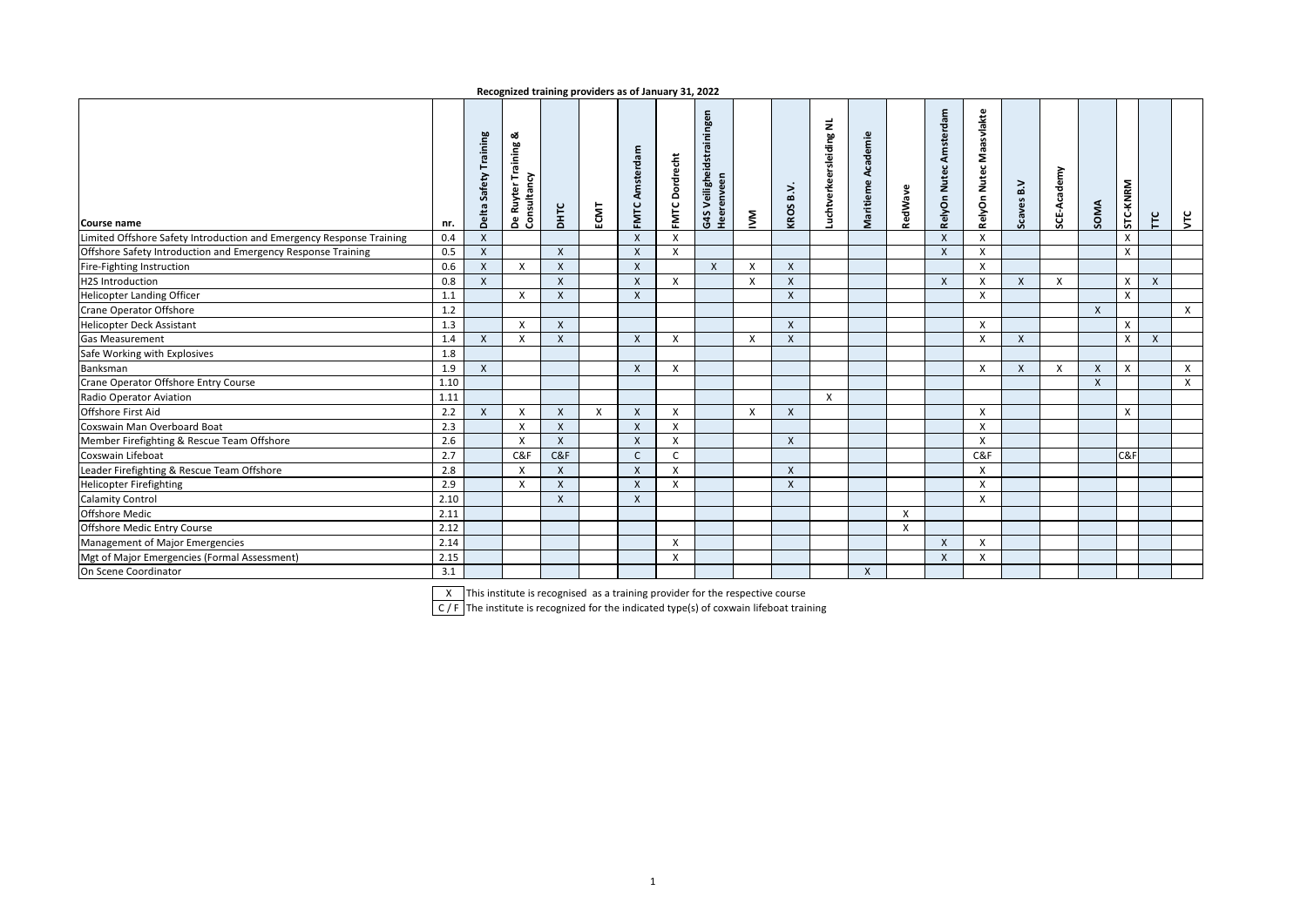| Recognized training providers as of January 31, 2022 |  |  |  |
|------------------------------------------------------|--|--|--|
|------------------------------------------------------|--|--|--|

| Course name                                                          | nr.  | Training<br>Safety<br>Delta | య<br>Training<br><b>De Ruyter Tra</b><br>Consultancy | <b>DHTC</b> | ECMT         | Amsterdam<br>FMTC. | <b>FMTC Dordrecht</b>     | G4S Veiligheidstrainingen<br>Heerenveen | ŠΜ                        | B.V.<br>KROS | uchtverkeersleiding NL | Academie<br>Maritieme | RedWave      | Amsterdam<br>Nutec.<br>RelyOn | Maasvlakte<br>RelyOn Nutec | Scaves B.V       | SCE-Academy | SOMA                      | STC-KNRM | Ĕ            | $\zeta$      |
|----------------------------------------------------------------------|------|-----------------------------|------------------------------------------------------|-------------|--------------|--------------------|---------------------------|-----------------------------------------|---------------------------|--------------|------------------------|-----------------------|--------------|-------------------------------|----------------------------|------------------|-------------|---------------------------|----------|--------------|--------------|
| Limited Offshore Safety Introduction and Emergency Response Training | 0.4  | X                           |                                                      |             |              | $\mathsf{x}$       | $\boldsymbol{\mathsf{x}}$ |                                         |                           |              |                        |                       |              | $\times$                      | X                          |                  |             |                           | X        |              |              |
| Offshore Safety Introduction and Emergency Response Training         | 0.5  | $\mathsf{x}$                |                                                      | X           |              | X                  | X                         |                                         |                           |              |                        |                       |              | $\times$                      | X                          |                  |             |                           | X        |              |              |
| Fire-Fighting Instruction                                            | 0.6  | X                           | X                                                    | X           |              | X                  |                           | $\mathsf{X}$                            | X                         | $\mathsf{x}$ |                        |                       |              |                               | X                          |                  |             |                           |          |              |              |
| <b>H2S Introduction</b>                                              | 0.8  | $\mathsf{x}$                |                                                      | X           |              | X                  | X                         |                                         | $\boldsymbol{\mathsf{x}}$ | X            |                        |                       |              | $\boldsymbol{\mathsf{X}}$     | Χ                          | $\boldsymbol{X}$ | X           |                           | X        | X            |              |
| <b>Helicopter Landing Officer</b>                                    | 1.1  |                             | X                                                    | X           |              | $\pmb{\mathsf{X}}$ |                           |                                         |                           | X            |                        |                       |              |                               | X                          |                  |             |                           | X        |              |              |
| Crane Operator Offshore                                              | 1.2  |                             |                                                      |             |              |                    |                           |                                         |                           |              |                        |                       |              |                               |                            |                  |             | $\mathsf{X}$              |          |              | $\times$     |
| <b>Helicopter Deck Assistant</b>                                     | 1.3  |                             | $\mathsf{x}$                                         | X           |              |                    |                           |                                         |                           | X            |                        |                       |              |                               | X                          |                  |             |                           | X        |              |              |
| <b>Gas Measurement</b>                                               | 1.4  | $\mathsf{x}$                | $\boldsymbol{\mathsf{X}}$                            | X           |              | X                  | $\boldsymbol{\mathsf{x}}$ |                                         | X                         | $\mathsf{X}$ |                        |                       |              |                               | X                          | $\mathsf{x}$     |             |                           | X        | $\mathsf{x}$ |              |
| Safe Working with Explosives                                         | 1.8  |                             |                                                      |             |              |                    |                           |                                         |                           |              |                        |                       |              |                               |                            |                  |             |                           |          |              |              |
| Banksman                                                             | 1.9  | $\mathsf{X}$                |                                                      |             |              | $\mathsf{X}$       | $\boldsymbol{\mathsf{x}}$ |                                         |                           |              |                        |                       |              |                               | X                          | $\boldsymbol{X}$ | X           | $\boldsymbol{\mathsf{X}}$ | X        |              | $\mathsf{X}$ |
| Crane Operator Offshore Entry Course                                 | 1.10 |                             |                                                      |             |              |                    |                           |                                         |                           |              |                        |                       |              |                               |                            |                  |             | X                         |          |              | X            |
| Radio Operator Aviation                                              | 1.11 |                             |                                                      |             |              |                    |                           |                                         |                           |              | X                      |                       |              |                               |                            |                  |             |                           |          |              |              |
| Offshore First Aid                                                   | 2.2  | $\mathsf{x}$                | $\mathsf{X}$                                         | X           | $\mathsf{x}$ | X                  | $\boldsymbol{\mathsf{X}}$ |                                         | X                         | X            |                        |                       |              |                               | X                          |                  |             |                           | X        |              |              |
| Coxswain Man Overboard Boat                                          | 2.3  |                             | $\mathsf{X}$                                         | X           |              | $\pmb{\mathsf{X}}$ | $\boldsymbol{\mathsf{X}}$ |                                         |                           |              |                        |                       |              |                               | X                          |                  |             |                           |          |              |              |
| Member Firefighting & Rescue Team Offshore                           | 2.6  |                             | $\mathsf{X}$                                         | X           |              | X                  | $\boldsymbol{\mathsf{X}}$ |                                         |                           | X            |                        |                       |              |                               | X                          |                  |             |                           |          |              |              |
| Coxswain Lifeboat                                                    | 2.7  |                             | C&F                                                  | C&F         |              | $\mathsf{C}$       | $\mathsf{C}$              |                                         |                           |              |                        |                       |              |                               | C&F                        |                  |             |                           | C&F      |              |              |
| Leader Firefighting & Rescue Team Offshore                           | 2.8  |                             | $\mathsf{x}$                                         | X           |              | X                  | $\boldsymbol{\mathsf{x}}$ |                                         |                           | X            |                        |                       |              |                               | X                          |                  |             |                           |          |              |              |
| <b>Helicopter Firefighting</b>                                       | 2.9  |                             | X                                                    | X           |              | X                  | $\boldsymbol{\mathsf{x}}$ |                                         |                           | X            |                        |                       |              |                               | X                          |                  |             |                           |          |              |              |
| <b>Calamity Control</b>                                              | 2.10 |                             |                                                      | X           |              | X                  |                           |                                         |                           |              |                        |                       |              |                               | X                          |                  |             |                           |          |              |              |
| <b>Offshore Medic</b>                                                | 2.11 |                             |                                                      |             |              |                    |                           |                                         |                           |              |                        |                       | X            |                               |                            |                  |             |                           |          |              |              |
| Offshore Medic Entry Course                                          | 2.12 |                             |                                                      |             |              |                    |                           |                                         |                           |              |                        |                       | $\mathsf{x}$ |                               |                            |                  |             |                           |          |              |              |
| Management of Major Emergencies                                      | 2.14 |                             |                                                      |             |              |                    | $\boldsymbol{\mathsf{x}}$ |                                         |                           |              |                        |                       |              | $\mathsf{X}$                  | X                          |                  |             |                           |          |              |              |
| Mgt of Major Emergencies (Formal Assessment)                         | 2.15 |                             |                                                      |             |              |                    | X                         |                                         |                           |              |                        |                       |              | $\mathsf{x}$                  | X                          |                  |             |                           |          |              |              |
| On Scene Coordinator                                                 | 3.1  |                             |                                                      |             |              |                    |                           |                                         |                           |              |                        | X                     |              |                               |                            |                  |             |                           |          |              |              |

X This institute is recognised as a training provider for the respective course

C / F The institute is recognized for the indicated type(s) of coxwain lifeboat training